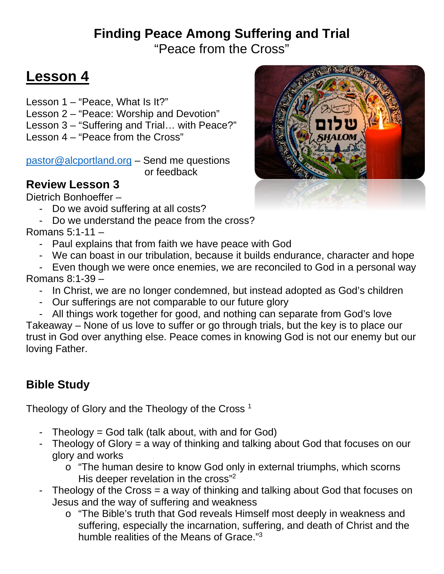## **Finding Peace Among Suffering and Trial** "Peace from the Cross"

# **Lesson 4**

Lesson 1 – "Peace, What Is It?" Lesson 2 – "Peace: Worship and Devotion" Lesson 3 – "Suffering and Trial… with Peace?" Lesson 4 – "Peace from the Cross"

[pastor@alcportland.org](mailto:pastor@alcportland.org) – Send me questions or feedback

## **Review Lesson 3**

Dietrich Bonhoeffer –

- Do we avoid suffering at all costs?
- Do we understand the peace from the cross?

## Romans 5:1-11 –

- Paul explains that from faith we have peace with God
- We can boast in our tribulation, because it builds endurance, character and hope
- Even though we were once enemies, we are reconciled to God in a personal way Romans 8:1-39 –
	- In Christ, we are no longer condemned, but instead adopted as God's children
	- Our sufferings are not comparable to our future glory
	- All things work together for good, and nothing can separate from God's love

Takeaway – None of us love to suffer or go through trials, but the key is to place our trust in God over anything else. Peace comes in knowing God is not our enemy but our loving Father.

## **Bible Study**

Theology of Glory and the Theology of the Cross<sup>1</sup>

- Theology = God talk (talk about, with and for God)
- Theology of Glory = a way of thinking and talking about God that focuses on our glory and works
	- o "The human desire to know God only in external triumphs, which scorns His deeper revelation in the cross"<sup>2</sup>
- Theology of the Cross = a way of thinking and talking about God that focuses on Jesus and the way of suffering and weakness
	- o "The Bible's truth that God reveals Himself most deeply in weakness and suffering, especially the incarnation, suffering, and death of Christ and the humble realities of the Means of Grace."3